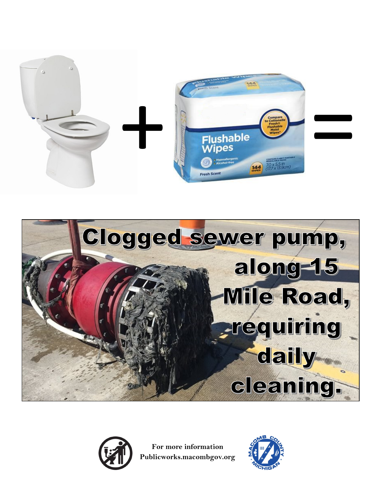





**For more information Publicworks.macombgov.org**